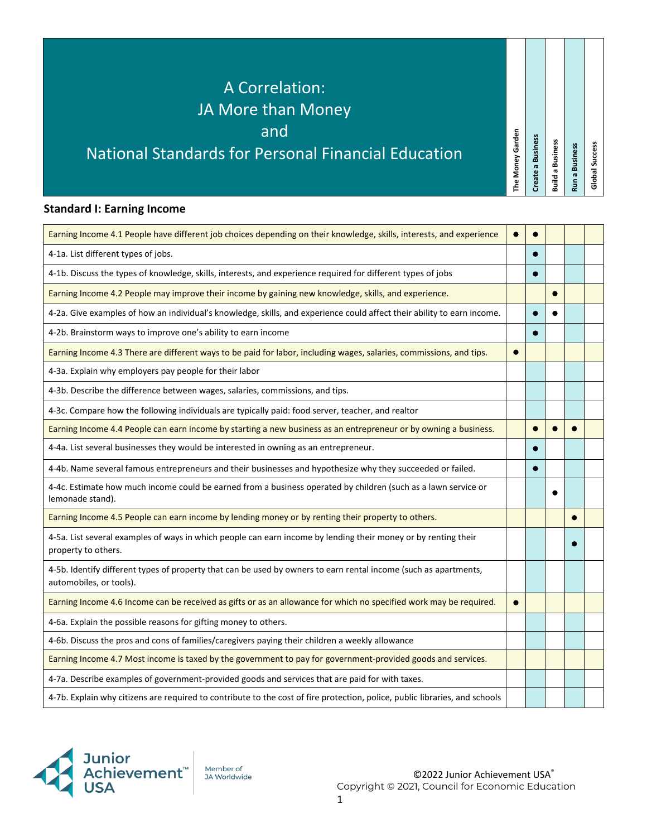### **Standard I: Earning Income**

| Earning Income 4.1 People have different job choices depending on their knowledge, skills, interests, and experience                        | $\bullet$ |  |  |
|---------------------------------------------------------------------------------------------------------------------------------------------|-----------|--|--|
| 4-1a. List different types of jobs.                                                                                                         |           |  |  |
| 4-1b. Discuss the types of knowledge, skills, interests, and experience required for different types of jobs                                |           |  |  |
| Earning Income 4.2 People may improve their income by gaining new knowledge, skills, and experience.                                        |           |  |  |
| 4-2a. Give examples of how an individual's knowledge, skills, and experience could affect their ability to earn income.                     |           |  |  |
| 4-2b. Brainstorm ways to improve one's ability to earn income                                                                               |           |  |  |
| Earning Income 4.3 There are different ways to be paid for labor, including wages, salaries, commissions, and tips.                         |           |  |  |
| 4-3a. Explain why employers pay people for their labor                                                                                      |           |  |  |
| 4-3b. Describe the difference between wages, salaries, commissions, and tips.                                                               |           |  |  |
| 4-3c. Compare how the following individuals are typically paid: food server, teacher, and realtor                                           |           |  |  |
| Earning Income 4.4 People can earn income by starting a new business as an entrepreneur or by owning a business.                            |           |  |  |
| 4-4a. List several businesses they would be interested in owning as an entrepreneur.                                                        |           |  |  |
| 4-4b. Name several famous entrepreneurs and their businesses and hypothesize why they succeeded or failed.                                  | $\bullet$ |  |  |
| 4-4c. Estimate how much income could be earned from a business operated by children (such as a lawn service or<br>lemonade stand).          |           |  |  |
| Earning Income 4.5 People can earn income by lending money or by renting their property to others.                                          |           |  |  |
| 4-5a. List several examples of ways in which people can earn income by lending their money or by renting their<br>property to others.       |           |  |  |
| 4-5b. Identify different types of property that can be used by owners to earn rental income (such as apartments,<br>automobiles, or tools). |           |  |  |
| Earning Income 4.6 Income can be received as gifts or as an allowance for which no specified work may be required.                          |           |  |  |
| 4-6a. Explain the possible reasons for gifting money to others.                                                                             |           |  |  |
| 4-6b. Discuss the pros and cons of families/caregivers paying their children a weekly allowance                                             |           |  |  |
| Earning Income 4.7 Most income is taxed by the government to pay for government-provided goods and services.                                |           |  |  |
| 4-7a. Describe examples of government-provided goods and services that are paid for with taxes.                                             |           |  |  |
| 4-7b. Explain why citizens are required to contribute to the cost of fire protection, police, public libraries, and schools                 |           |  |  |



JA Worldwide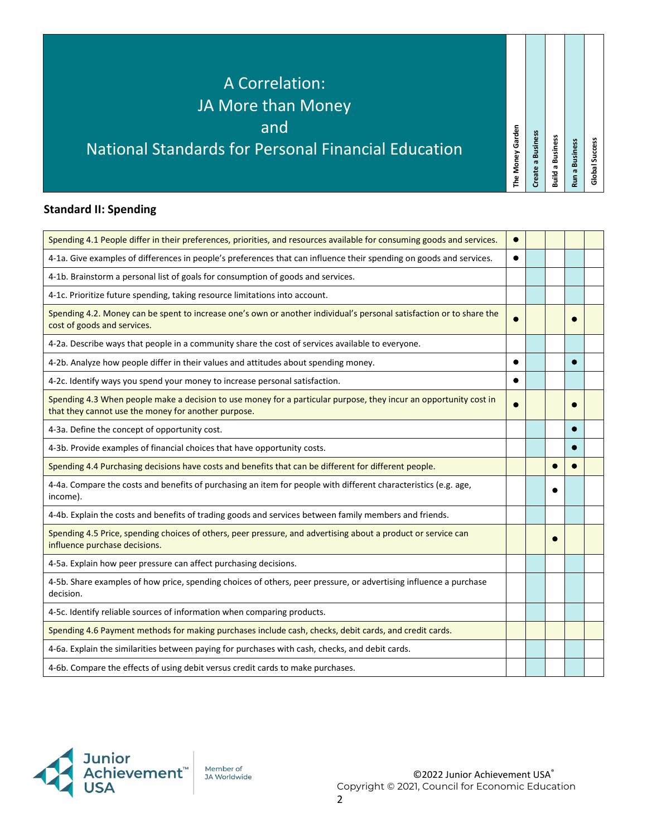# **Standard II: Spending**

| Spending 4.1 People differ in their preferences, priorities, and resources available for consuming goods and services.                                                   |           |  |  |
|--------------------------------------------------------------------------------------------------------------------------------------------------------------------------|-----------|--|--|
| 4-1a. Give examples of differences in people's preferences that can influence their spending on goods and services.                                                      | $\bullet$ |  |  |
| 4-1b. Brainstorm a personal list of goals for consumption of goods and services.                                                                                         |           |  |  |
| 4-1c. Prioritize future spending, taking resource limitations into account.                                                                                              |           |  |  |
| Spending 4.2. Money can be spent to increase one's own or another individual's personal satisfaction or to share the<br>cost of goods and services.                      |           |  |  |
| 4-2a. Describe ways that people in a community share the cost of services available to everyone.                                                                         |           |  |  |
| 4-2b. Analyze how people differ in their values and attitudes about spending money.                                                                                      |           |  |  |
| 4-2c. Identify ways you spend your money to increase personal satisfaction.                                                                                              |           |  |  |
| Spending 4.3 When people make a decision to use money for a particular purpose, they incur an opportunity cost in<br>that they cannot use the money for another purpose. |           |  |  |
| 4-3a. Define the concept of opportunity cost.                                                                                                                            |           |  |  |
| 4-3b. Provide examples of financial choices that have opportunity costs.                                                                                                 |           |  |  |
| Spending 4.4 Purchasing decisions have costs and benefits that can be different for different people.                                                                    |           |  |  |
| 4-4a. Compare the costs and benefits of purchasing an item for people with different characteristics (e.g. age,<br>income).                                              |           |  |  |
| 4-4b. Explain the costs and benefits of trading goods and services between family members and friends.                                                                   |           |  |  |
| Spending 4.5 Price, spending choices of others, peer pressure, and advertising about a product or service can<br>influence purchase decisions.                           |           |  |  |
| 4-5a. Explain how peer pressure can affect purchasing decisions.                                                                                                         |           |  |  |
| 4-5b. Share examples of how price, spending choices of others, peer pressure, or advertising influence a purchase<br>decision.                                           |           |  |  |
| 4-5c. Identify reliable sources of information when comparing products.                                                                                                  |           |  |  |
| Spending 4.6 Payment methods for making purchases include cash, checks, debit cards, and credit cards.                                                                   |           |  |  |
| 4-6a. Explain the similarities between paying for purchases with cash, checks, and debit cards.                                                                          |           |  |  |
| 4-6b. Compare the effects of using debit versus credit cards to make purchases.                                                                                          |           |  |  |



JA Worldwide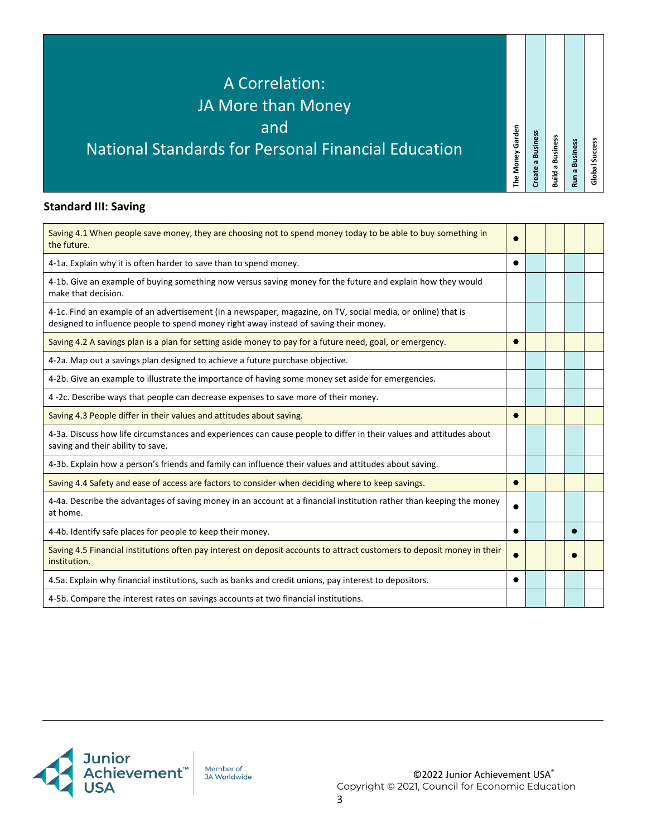# **Standard III: Saving**

| Saving 4.1 When people save money, they are choosing not to spend money today to be able to buy something in<br>the future.                                                                           |   |  |  |
|-------------------------------------------------------------------------------------------------------------------------------------------------------------------------------------------------------|---|--|--|
| 4-1a. Explain why it is often harder to save than to spend money.                                                                                                                                     |   |  |  |
| 4-1b. Give an example of buying something now versus saving money for the future and explain how they would<br>make that decision.                                                                    |   |  |  |
| 4-1c. Find an example of an advertisement (in a newspaper, magazine, on TV, social media, or online) that is<br>designed to influence people to spend money right away instead of saving their money. |   |  |  |
| Saving 4.2 A savings plan is a plan for setting aside money to pay for a future need, goal, or emergency.                                                                                             |   |  |  |
| 4-2a. Map out a savings plan designed to achieve a future purchase objective.                                                                                                                         |   |  |  |
| 4-2b. Give an example to illustrate the importance of having some money set aside for emergencies.                                                                                                    |   |  |  |
| 4-2c. Describe ways that people can decrease expenses to save more of their money.                                                                                                                    |   |  |  |
| Saving 4.3 People differ in their values and attitudes about saving.                                                                                                                                  |   |  |  |
| 4-3a. Discuss how life circumstances and experiences can cause people to differ in their values and attitudes about<br>saving and their ability to save.                                              |   |  |  |
| 4-3b. Explain how a person's friends and family can influence their values and attitudes about saving.                                                                                                |   |  |  |
| Saving 4.4 Safety and ease of access are factors to consider when deciding where to keep savings.                                                                                                     |   |  |  |
| 4-4a. Describe the advantages of saving money in an account at a financial institution rather than keeping the money<br>at home.                                                                      |   |  |  |
| 4-4b. Identify safe places for people to keep their money.                                                                                                                                            | ● |  |  |
| Saving 4.5 Financial institutions often pay interest on deposit accounts to attract customers to deposit money in their<br>institution.                                                               |   |  |  |
| 4.5a. Explain why financial institutions, such as banks and credit unions, pay interest to depositors.                                                                                                |   |  |  |
| 4-5b. Compare the interest rates on savings accounts at two financial institutions.                                                                                                                   |   |  |  |



Member of JA Worldwide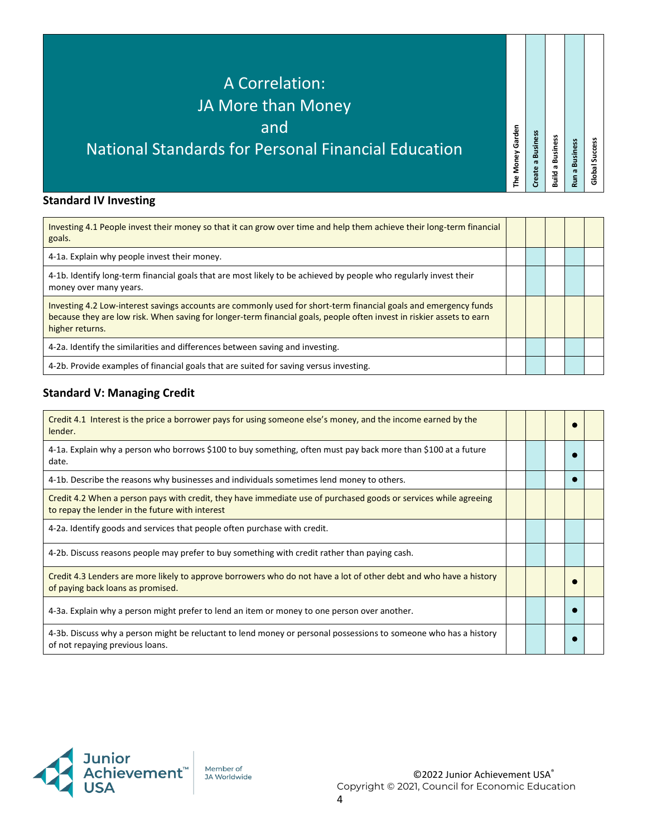# **Standard IV Investing**

| Investing 4.1 People invest their money so that it can grow over time and help them achieve their long-term financial<br>goals.                                                                                                                              |  |  |  |
|--------------------------------------------------------------------------------------------------------------------------------------------------------------------------------------------------------------------------------------------------------------|--|--|--|
| 4-1a. Explain why people invest their money.                                                                                                                                                                                                                 |  |  |  |
| 4-1b. Identify long-term financial goals that are most likely to be achieved by people who regularly invest their<br>money over many years.                                                                                                                  |  |  |  |
| Investing 4.2 Low-interest savings accounts are commonly used for short-term financial goals and emergency funds<br>because they are low risk. When saving for longer-term financial goals, people often invest in riskier assets to earn<br>higher returns. |  |  |  |
| 4-2a. Identify the similarities and differences between saving and investing.                                                                                                                                                                                |  |  |  |
| 4-2b. Provide examples of financial goals that are suited for saving versus investing.                                                                                                                                                                       |  |  |  |

# **Standard V: Managing Credit**

| Credit 4.1 Interest is the price a borrower pays for using someone else's money, and the income earned by the<br>lender.                                            |  |  |  |
|---------------------------------------------------------------------------------------------------------------------------------------------------------------------|--|--|--|
| 4-1a. Explain why a person who borrows \$100 to buy something, often must pay back more than \$100 at a future<br>date.                                             |  |  |  |
| 4-1b. Describe the reasons why businesses and individuals sometimes lend money to others.                                                                           |  |  |  |
| Credit 4.2 When a person pays with credit, they have immediate use of purchased goods or services while agreeing<br>to repay the lender in the future with interest |  |  |  |
| 4-2a. Identify goods and services that people often purchase with credit.                                                                                           |  |  |  |
| 4-2b. Discuss reasons people may prefer to buy something with credit rather than paying cash.                                                                       |  |  |  |
| Credit 4.3 Lenders are more likely to approve borrowers who do not have a lot of other debt and who have a history<br>of paying back loans as promised.             |  |  |  |
| 4-3a. Explain why a person might prefer to lend an item or money to one person over another.                                                                        |  |  |  |
| 4-3b. Discuss why a person might be reluctant to lend money or personal possessions to someone who has a history<br>of not repaying previous loans.                 |  |  |  |



Member of JA Worldwide